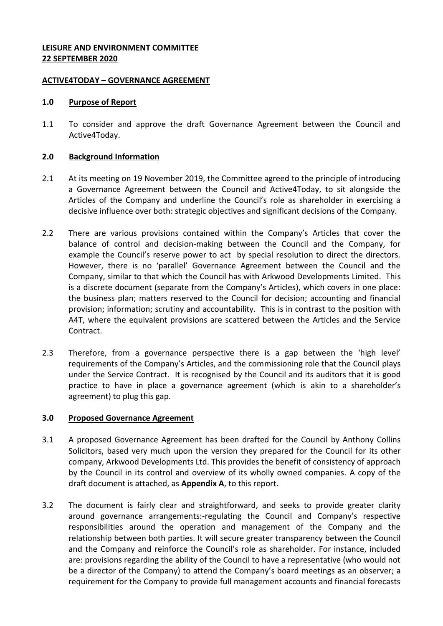## **LEISURE AND ENVIRONMENT COMMITTEE 22 SEPTEMBER 2020**

### **ACTIVE4TODAY – GOVERNANCE AGREEMENT**

#### **1.0 Purpose of Report**

1.1 To consider and approve the draft Governance Agreement between the Council and Active4Today.

#### **2.0 Background Information**

- 2.1 At its meeting on 19 November 2019, the Committee agreed to the principle of introducing a Governance Agreement between the Council and Active4Today, to sit alongside the Articles of the Company and underline the Council's role as shareholder in exercising a decisive influence over both: strategic objectives and significant decisions of the Company.
- 2.2 There are various provisions contained within the Company's Articles that cover the balance of control and decision-making between the Council and the Company, for example the Council's reserve power to act by special resolution to direct the directors. However, there is no 'parallel' Governance Agreement between the Council and the Company, similar to that which the Council has with Arkwood Developments Limited. This is a discrete document (separate from the Company's Articles), which covers in one place: the business plan; matters reserved to the Council for decision; accounting and financial provision; information; scrutiny and accountability. This is in contrast to the position with A4T, where the equivalent provisions are scattered between the Articles and the Service Contract.
- 2.3 Therefore, from a governance perspective there is a gap between the 'high level' requirements of the Company's Articles, and the commissioning role that the Council plays under the Service Contract. It is recognised by the Council and its auditors that it is good practice to have in place a governance agreement (which is akin to a shareholder's agreement) to plug this gap.

#### **3.0 Proposed Governance Agreement**

- 3.1 A proposed Governance Agreement has been drafted for the Council by Anthony Collins Solicitors, based very much upon the version they prepared for the Council for its other company, Arkwood Developments Ltd. This provides the benefit of consistency of approach by the Council in its control and overview of its wholly owned companies. A copy of the draft document is attached, as **Appendix A**, to this report.
- 3.2 The document is fairly clear and straightforward, and seeks to provide greater clarity around governance arrangements:-regulating the Council and Company's respective responsibilities around the operation and management of the Company and the relationship between both parties. It will secure greater transparency between the Council and the Company and reinforce the Council's role as shareholder. For instance, included are: provisions regarding the ability of the Council to have a representative (who would not be a director of the Company) to attend the Company's board meetings as an observer; a requirement for the Company to provide full management accounts and financial forecasts